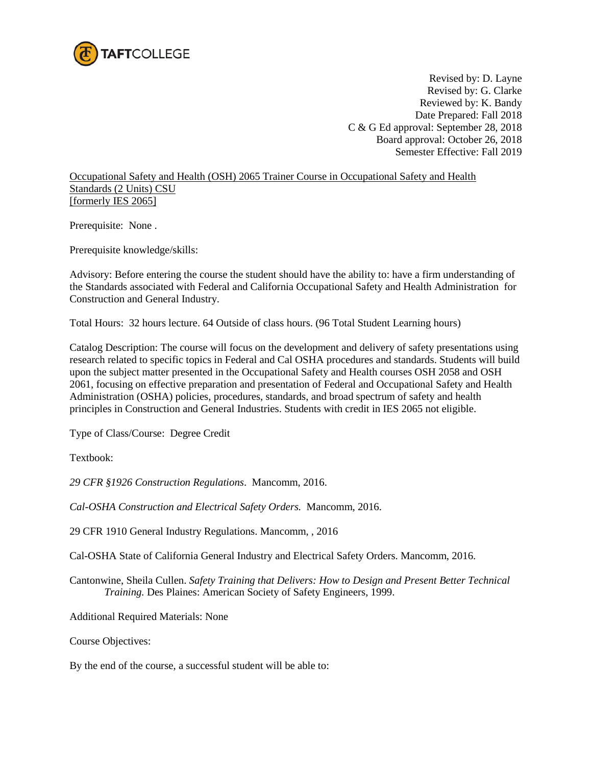

Revised by: D. Layne Revised by: G. Clarke Reviewed by: K. Bandy Date Prepared: Fall 2018 C & G Ed approval: September 28, 2018 Board approval: October 26, 2018 Semester Effective: Fall 2019

Occupational Safety and Health (OSH) 2065 Trainer Course in Occupational Safety and Health Standards (2 Units) CSU [formerly IES 2065]

Prerequisite: None .

Prerequisite knowledge/skills:

Advisory: Before entering the course the student should have the ability to: have a firm understanding of the Standards associated with Federal and California Occupational Safety and Health Administration for Construction and General Industry.

Total Hours: 32 hours lecture. 64 Outside of class hours. (96 Total Student Learning hours)

Catalog Description: The course will focus on the development and delivery of safety presentations using research related to specific topics in Federal and Cal OSHA procedures and standards. Students will build upon the subject matter presented in the Occupational Safety and Health courses OSH 2058 and OSH 2061, focusing on effective preparation and presentation of Federal and Occupational Safety and Health Administration (OSHA) policies, procedures, standards, and broad spectrum of safety and health principles in Construction and General Industries. Students with credit in IES 2065 not eligible.

Type of Class/Course: Degree Credit

Textbook:

*29 CFR §1926 Construction Regulations*. Mancomm, 2016.

*Cal-OSHA Construction and Electrical Safety Orders.* Mancomm, 2016.

29 CFR 1910 General Industry Regulations. Mancomm, , 2016

Cal-OSHA State of California General Industry and Electrical Safety Orders. Mancomm, 2016.

Cantonwine, Sheila Cullen. *Safety Training that Delivers: How to Design and Present Better Technical Training.* Des Plaines: American Society of Safety Engineers, 1999.

Additional Required Materials: None

Course Objectives:

By the end of the course, a successful student will be able to: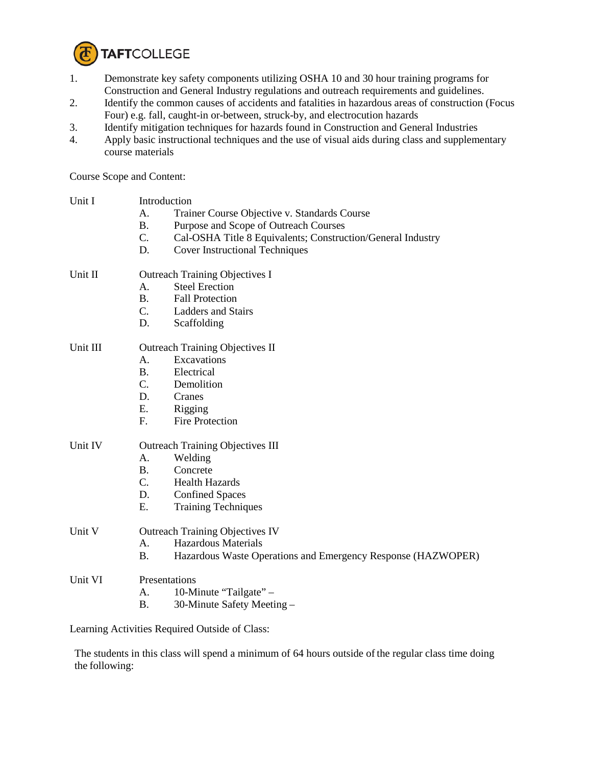

- 1. Demonstrate key safety components utilizing OSHA 10 and 30 hour training programs for Construction and General Industry regulations and outreach requirements and guidelines.
- 2. Identify the common causes of accidents and fatalities in hazardous areas of construction (Focus Four) e.g. fall, caught-in or-between, struck-by, and electrocution hazards
- 3. Identify mitigation techniques for hazards found in Construction and General Industries
- 4. Apply basic instructional techniques and the use of visual aids during class and supplementary course materials

Course Scope and Content:

| Unit I   | Introduction                                                              |  |  |
|----------|---------------------------------------------------------------------------|--|--|
|          | Trainer Course Objective v. Standards Course<br>A.                        |  |  |
|          | <b>B.</b><br>Purpose and Scope of Outreach Courses                        |  |  |
|          | C.<br>Cal-OSHA Title 8 Equivalents; Construction/General Industry         |  |  |
|          | <b>Cover Instructional Techniques</b><br>D.                               |  |  |
| Unit II  | <b>Outreach Training Objectives I</b>                                     |  |  |
|          | <b>Steel Erection</b><br>А.                                               |  |  |
|          | $\mathbf{B}$ .<br><b>Fall Protection</b>                                  |  |  |
|          | $C_{\cdot}$<br>Ladders and Stairs                                         |  |  |
|          | D.<br>Scaffolding                                                         |  |  |
| Unit III | <b>Outreach Training Objectives II</b>                                    |  |  |
|          | Excavations<br>A.                                                         |  |  |
|          | Electrical<br><b>B.</b>                                                   |  |  |
|          | $C_{\cdot}$<br>Demolition                                                 |  |  |
|          | D.<br>Cranes                                                              |  |  |
|          | E.<br>Rigging                                                             |  |  |
|          | F.<br><b>Fire Protection</b>                                              |  |  |
| Unit IV  | <b>Outreach Training Objectives III</b>                                   |  |  |
|          | A.<br>Welding                                                             |  |  |
|          | Concrete<br><b>B.</b>                                                     |  |  |
|          | $\mathbf{C}$ .<br><b>Health Hazards</b>                                   |  |  |
|          | D.<br><b>Confined Spaces</b>                                              |  |  |
|          | E.<br><b>Training Techniques</b>                                          |  |  |
| Unit V   | <b>Outreach Training Objectives IV</b>                                    |  |  |
|          | <b>Hazardous Materials</b><br>A.                                          |  |  |
|          | <b>B.</b><br>Hazardous Waste Operations and Emergency Response (HAZWOPER) |  |  |
| Unit VI  | Presentations                                                             |  |  |
|          | 10-Minute "Tailgate" -<br>A.                                              |  |  |
|          | 30-Minute Safety Meeting -<br><b>B.</b>                                   |  |  |
|          |                                                                           |  |  |

Learning Activities Required Outside of Class:

The students in this class will spend a minimum of 64 hours outside of the regular class time doing the following: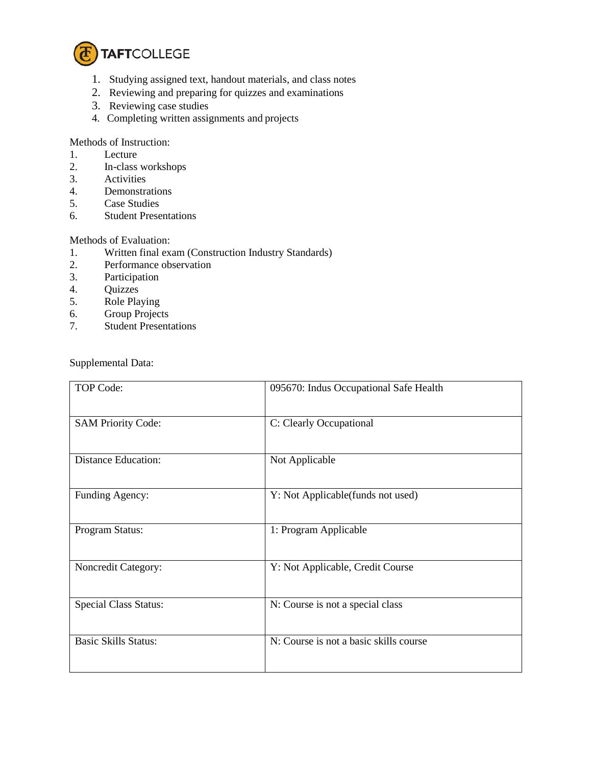

- 1. Studying assigned text, handout materials, and class notes
- 2. Reviewing and preparing for quizzes and examinations
- 3. Reviewing case studies
- 4. Completing written assignments and projects

Methods of Instruction:

- 1. Lecture
- 2. In-class workshops
- 3. Activities
- 4. Demonstrations<br>5. Case Studies
- Case Studies
- 6. Student Presentations

## Methods of Evaluation:

- 1. Written final exam (Construction Industry Standards)
- 2. Performance observation<br>3. Participation
- Participation
- 4. Quizzes
- 
- 5. Role Playing<br>6. Group Projec 6. Group Projects<br>7. Student Present
- **Student Presentations**

Supplemental Data:

| TOP Code:                    | 095670: Indus Occupational Safe Health |
|------------------------------|----------------------------------------|
| <b>SAM Priority Code:</b>    | C: Clearly Occupational                |
| <b>Distance Education:</b>   | Not Applicable                         |
| Funding Agency:              | Y: Not Applicable(funds not used)      |
| Program Status:              | 1: Program Applicable                  |
| Noncredit Category:          | Y: Not Applicable, Credit Course       |
| <b>Special Class Status:</b> | N: Course is not a special class       |
| <b>Basic Skills Status:</b>  | N: Course is not a basic skills course |